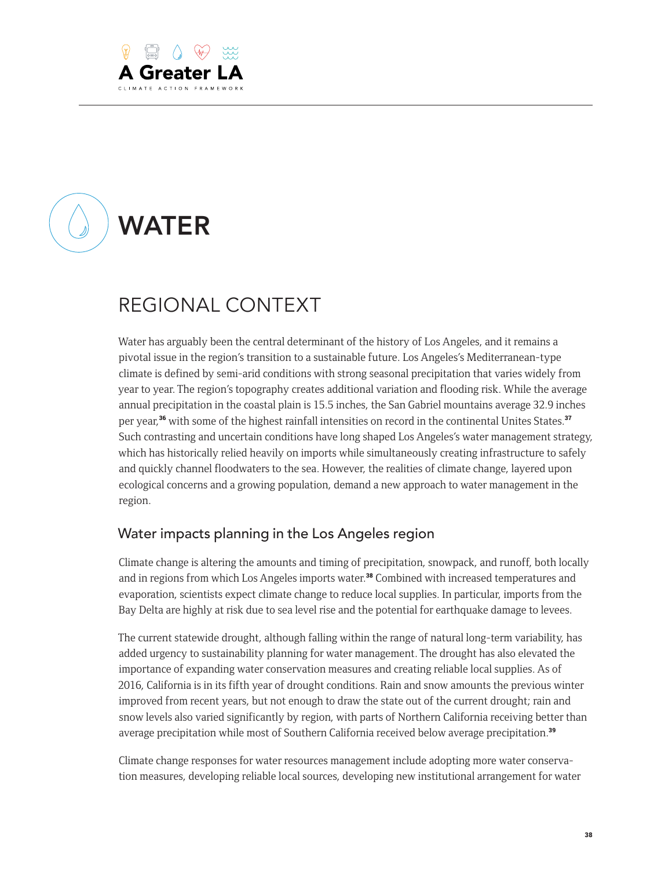

# WATER

# REGIONAL CONTEXT

Water has arguably been the central determinant of the history of Los Angeles, and it remains a pivotal issue in the region's transition to a sustainable future. Los Angeles's Mediterranean-type climate is defined by semi-arid conditions with strong seasonal precipitation that varies widely from year to year. The region's topography creates additional variation and flooding risk. While the average annual precipitation in the coastal plain is 15.5 inches, the San Gabriel mountains average 32.9 inches per year,<sup>36</sup> with some of the highest rainfall intensities on record in the continental Unites States.<sup>37</sup> Such contrasting and uncertain conditions have long shaped Los Angeles's water management strategy, which has historically relied heavily on imports while simultaneously creating infrastructure to safely and quickly channel floodwaters to the sea. However, the realities of climate change, layered upon ecological concerns and a growing population, demand a new approach to water management in the region.

#### Water impacts planning in the Los Angeles region

Climate change is altering the amounts and timing of precipitation, snowpack, and runoff, both locally and in regions from which Los Angeles imports water.<sup>38</sup> Combined with increased temperatures and evaporation, scientists expect climate change to reduce local supplies. In particular, imports from the Bay Delta are highly at risk due to sea level rise and the potential for earthquake damage to levees.

The current statewide drought, although falling within the range of natural long-term variability, has added urgency to sustainability planning for water management. The drought has also elevated the importance of expanding water conservation measures and creating reliable local supplies. As of 2016, California is in its fifth year of drought conditions. Rain and snow amounts the previous winter improved from recent years, but not enough to draw the state out of the current drought; rain and snow levels also varied significantly by region, with parts of Northern California receiving better than average precipitation while most of Southern California received below average precipitation.<sup>39</sup>

Climate change responses for water resources management include adopting more water conservation measures, developing reliable local sources, developing new institutional arrangement for water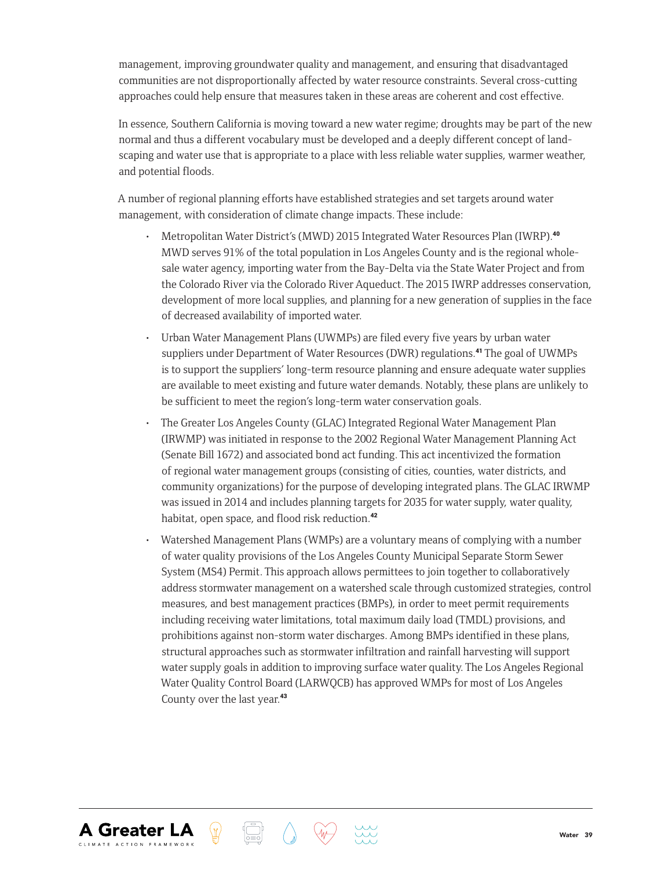management, improving groundwater quality and management, and ensuring that disadvantaged communities are not disproportionally affected by water resource constraints. Several cross-cutting approaches could help ensure that measures taken in these areas are coherent and cost effective.

In essence, Southern California is moving toward a new water regime; droughts may be part of the new normal and thus a different vocabulary must be developed and a deeply different concept of landscaping and water use that is appropriate to a place with less reliable water supplies, warmer weather, and potential floods.

A number of regional planning efforts have established strategies and set targets around water management, with consideration of climate change impacts. These include:

- Metropolitan Water District's (MWD) 2015 Integrated Water Resources Plan (IWRP).<sup>40</sup> MWD serves 91% of the total population in Los Angeles County and is the regional wholesale water agency, importing water from the Bay-Delta via the State Water Project and from the Colorado River via the Colorado River Aqueduct. The 2015 IWRP addresses conservation, development of more local supplies, and planning for a new generation of supplies in the face of decreased availability of imported water.
- Urban Water Management Plans (UWMPs) are filed every five years by urban water suppliers under Department of Water Resources (DWR) regulations.41 The goal of UWMPs is to support the suppliers' long-term resource planning and ensure adequate water supplies are available to meet existing and future water demands. Notably, these plans are unlikely to be sufficient to meet the region's long-term water conservation goals.
- The Greater Los Angeles County (GLAC) Integrated Regional Water Management Plan (IRWMP) was initiated in response to the 2002 Regional Water Management Planning Act (Senate Bill 1672) and associated bond act funding. This act incentivized the formation of regional water management groups (consisting of cities, counties, water districts, and community organizations) for the purpose of developing integrated plans. The GLAC IRWMP was issued in 2014 and includes planning targets for 2035 for water supply, water quality, habitat, open space, and flood risk reduction.<sup>42</sup>
- Watershed Management Plans (WMPs) are a voluntary means of complying with a number of water quality provisions of the Los Angeles County Municipal Separate Storm Sewer System (MS4) Permit. This approach allows permittees to join together to collaboratively address stormwater management on a watershed scale through customized strategies, control measures, and best management practices (BMPs), in order to meet permit requirements including receiving water limitations, total maximum daily load (TMDL) provisions, and prohibitions against non-storm water discharges. Among BMPs identified in these plans, structural approaches such as stormwater infiltration and rainfall harvesting will support water supply goals in addition to improving surface water quality. The Los Angeles Regional Water Quality Control Board (LARWQCB) has approved WMPs for most of Los Angeles County over the last year.<sup>43</sup>

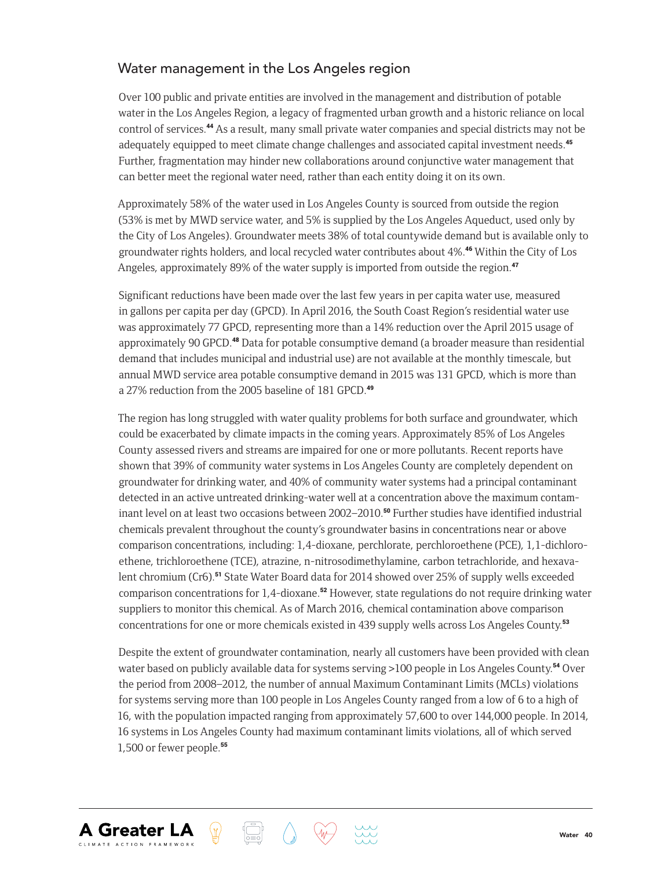#### Water management in the Los Angeles region

Over 100 public and private entities are involved in the management and distribution of potable water in the Los Angeles Region, a legacy of fragmented urban growth and a historic reliance on local control of services.44 As a result, many small private water companies and special districts may not be adequately equipped to meet climate change challenges and associated capital investment needs.<sup>45</sup> Further, fragmentation may hinder new collaborations around conjunctive water management that can better meet the regional water need, rather than each entity doing it on its own.

Approximately 58% of the water used in Los Angeles County is sourced from outside the region (53% is met by MWD service water, and 5% is supplied by the Los Angeles Aqueduct, used only by the City of Los Angeles). Groundwater meets 38% of total countywide demand but is available only to groundwater rights holders, and local recycled water contributes about 4%.46 Within the City of Los Angeles, approximately 89% of the water supply is imported from outside the region.<sup>47</sup>

Significant reductions have been made over the last few years in per capita water use, measured in gallons per capita per day (GPCD). In April 2016, the South Coast Region's residential water use was approximately 77 GPCD, representing more than a 14% reduction over the April 2015 usage of approximately 90 GPCD.48 Data for potable consumptive demand (a broader measure than residential demand that includes municipal and industrial use) are not available at the monthly timescale, but annual MWD service area potable consumptive demand in 2015 was 131 GPCD, which is more than a 27% reduction from the 2005 baseline of 181 GPCD.<sup>49</sup>

The region has long struggled with water quality problems for both surface and groundwater, which could be exacerbated by climate impacts in the coming years. Approximately 85% of Los Angeles County assessed rivers and streams are impaired for one or more pollutants. Recent reports have shown that 39% of community water systems in Los Angeles County are completely dependent on groundwater for drinking water, and 40% of community water systems had a principal contaminant detected in an active untreated drinking-water well at a concentration above the maximum contaminant level on at least two occasions between 2002–2010.<sup>50</sup> Further studies have identified industrial chemicals prevalent throughout the county's groundwater basins in concentrations near or above comparison concentrations, including: 1,4-dioxane, perchlorate, perchloroethene (PCE), 1,1-dichloroethene, trichloroethene (TCE), atrazine, n-nitrosodimethylamine, carbon tetrachloride, and hexavalent chromium (Cr6).<sup>51</sup> State Water Board data for 2014 showed over 25% of supply wells exceeded comparison concentrations for 1,4-dioxane.<sup>52</sup> However, state regulations do not require drinking water suppliers to monitor this chemical. As of March 2016, chemical contamination above comparison concentrations for one or more chemicals existed in 439 supply wells across Los Angeles County.<sup>53</sup>

Despite the extent of groundwater contamination, nearly all customers have been provided with clean water based on publicly available data for systems serving >100 people in Los Angeles County.<sup>54</sup> Over the period from 2008–2012, the number of annual Maximum Contaminant Limits (MCLs) violations for systems serving more than 100 people in Los Angeles County ranged from a low of 6 to a high of 16, with the population impacted ranging from approximately 57,600 to over 144,000 people. In 2014, 16 systems in Los Angeles County had maximum contaminant limits violations, all of which served 1,500 or fewer people.55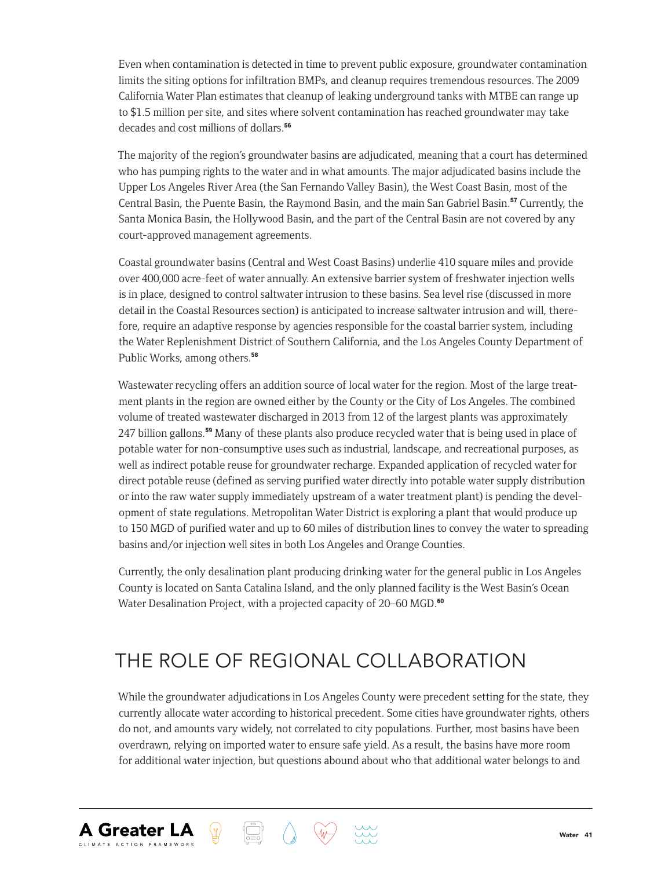Even when contamination is detected in time to prevent public exposure, groundwater contamination limits the siting options for infiltration BMPs, and cleanup requires tremendous resources. The 2009 California Water Plan estimates that cleanup of leaking underground tanks with MTBE can range up to \$1.5 million per site, and sites where solvent contamination has reached groundwater may take decades and cost millions of dollars.<sup>56</sup>

The majority of the region's groundwater basins are adjudicated, meaning that a court has determined who has pumping rights to the water and in what amounts. The major adjudicated basins include the Upper Los Angeles River Area (the San Fernando Valley Basin), the West Coast Basin, most of the Central Basin, the Puente Basin, the Raymond Basin, and the main San Gabriel Basin.<sup>57</sup> Currently, the Santa Monica Basin, the Hollywood Basin, and the part of the Central Basin are not covered by any court-approved management agreements.

Coastal groundwater basins (Central and West Coast Basins) underlie 410 square miles and provide over 400,000 acre-feet of water annually. An extensive barrier system of freshwater injection wells is in place, designed to control saltwater intrusion to these basins. Sea level rise (discussed in more detail in the Coastal Resources section) is anticipated to increase saltwater intrusion and will, therefore, require an adaptive response by agencies responsible for the coastal barrier system, including the Water Replenishment District of Southern California, and the Los Angeles County Department of Public Works, among others.<sup>58</sup>

Wastewater recycling offers an addition source of local water for the region. Most of the large treatment plants in the region are owned either by the County or the City of Los Angeles. The combined volume of treated wastewater discharged in 2013 from 12 of the largest plants was approximately 247 billion gallons.59 Many of these plants also produce recycled water that is being used in place of potable water for non-consumptive uses such as industrial, landscape, and recreational purposes, as well as indirect potable reuse for groundwater recharge. Expanded application of recycled water for direct potable reuse (defined as serving purified water directly into potable water supply distribution or into the raw water supply immediately upstream of a water treatment plant) is pending the development of state regulations. Metropolitan Water District is exploring a plant that would produce up to 150 MGD of purified water and up to 60 miles of distribution lines to convey the water to spreading basins and/or injection well sites in both Los Angeles and Orange Counties.

Currently, the only desalination plant producing drinking water for the general public in Los Angeles County is located on Santa Catalina Island, and the only planned facility is the West Basin's Ocean Water Desalination Project, with a projected capacity of 20–60 MGD.<sup>60</sup>

# THE ROLE OF REGIONAL COLLABORATION

**A Greater LA** 

While the groundwater adjudications in Los Angeles County were precedent setting for the state, they currently allocate water according to historical precedent. Some cities have groundwater rights, others do not, and amounts vary widely, not correlated to city populations. Further, most basins have been overdrawn, relying on imported water to ensure safe yield. As a result, the basins have more room for additional water injection, but questions abound about who that additional water belongs to and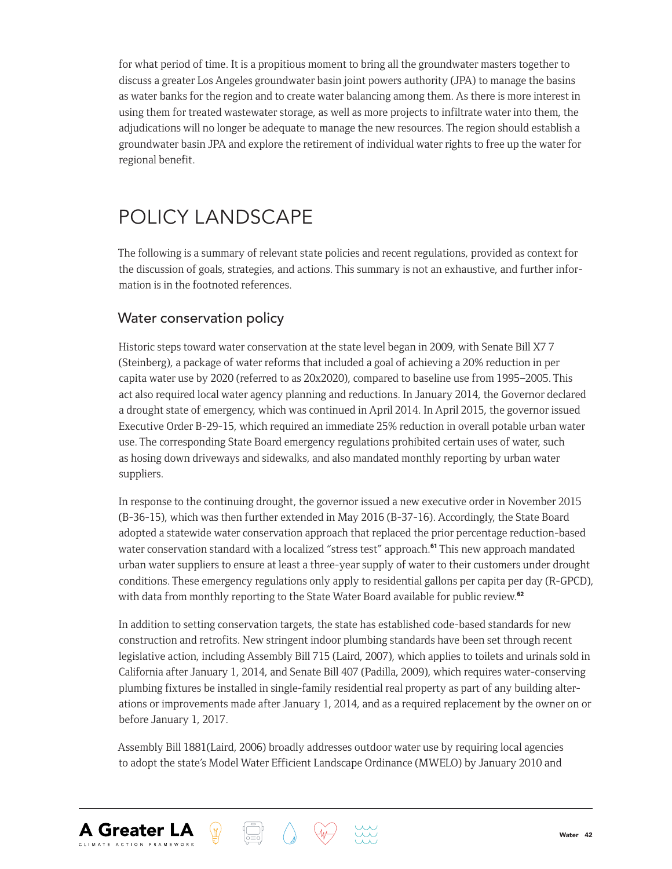for what period of time. It is a propitious moment to bring all the groundwater masters together to discuss a greater Los Angeles groundwater basin joint powers authority (JPA) to manage the basins as water banks for the region and to create water balancing among them. As there is more interest in using them for treated wastewater storage, as well as more projects to infiltrate water into them, the adjudications will no longer be adequate to manage the new resources. The region should establish a groundwater basin JPA and explore the retirement of individual water rights to free up the water for regional benefit.

# POLICY LANDSCAPE

The following is a summary of relevant state policies and recent regulations, provided as context for the discussion of goals, strategies, and actions. This summary is not an exhaustive, and further information is in the footnoted references.

#### Water conservation policy

**A Greater LA** 

Historic steps toward water conservation at the state level began in 2009, with Senate Bill X7 7 (Steinberg), a package of water reforms that included a goal of achieving a 20% reduction in per capita water use by 2020 (referred to as 20x2020), compared to baseline use from 1995–2005. This act also required local water agency planning and reductions. In January 2014, the Governor declared a drought state of emergency, which was continued in April 2014. In April 2015, the governor issued Executive Order B-29-15, which required an immediate 25% reduction in overall potable urban water use. The corresponding State Board emergency regulations prohibited certain uses of water, such as hosing down driveways and sidewalks, and also mandated monthly reporting by urban water suppliers.

In response to the continuing drought, the governor issued a new executive order in November 2015 (B-36-15), which was then further extended in May 2016 (B-37-16). Accordingly, the State Board adopted a statewide water conservation approach that replaced the prior percentage reduction-based water conservation standard with a localized "stress test" approach.<sup>61</sup> This new approach mandated urban water suppliers to ensure at least a three-year supply of water to their customers under drought conditions. These emergency regulations only apply to residential gallons per capita per day (R-GPCD), with data from monthly reporting to the State Water Board available for public review.<sup>62</sup>

In addition to setting conservation targets, the state has established code-based standards for new construction and retrofits. New stringent indoor plumbing standards have been set through recent legislative action, including Assembly Bill 715 (Laird, 2007), which applies to toilets and urinals sold in California after January 1, 2014, and Senate Bill 407 (Padilla, 2009), which requires water-conserving plumbing fixtures be installed in single-family residential real property as part of any building alterations or improvements made after January 1, 2014, and as a required replacement by the owner on or before January 1, 2017.

Assembly Bill 1881(Laird, 2006) broadly addresses outdoor water use by requiring local agencies to adopt the state's Model Water Efficient Landscape Ordinance (MWELO) by January 2010 and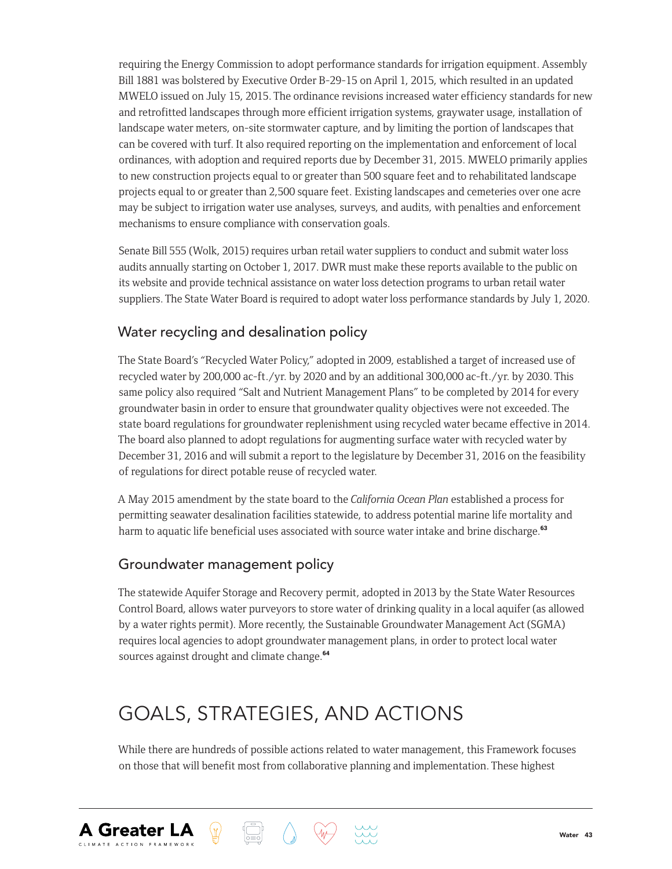requiring the Energy Commission to adopt performance standards for irrigation equipment. Assembly Bill 1881 was bolstered by Executive Order B-29-15 on April 1, 2015, which resulted in an updated MWELO issued on July 15, 2015. The ordinance revisions increased water efficiency standards for new and retrofitted landscapes through more efficient irrigation systems, graywater usage, installation of landscape water meters, on-site stormwater capture, and by limiting the portion of landscapes that can be covered with turf. It also required reporting on the implementation and enforcement of local ordinances, with adoption and required reports due by December 31, 2015. MWELO primarily applies to new construction projects equal to or greater than 500 square feet and to rehabilitated landscape projects equal to or greater than 2,500 square feet. Existing landscapes and cemeteries over one acre may be subject to irrigation water use analyses, surveys, and audits, with penalties and enforcement mechanisms to ensure compliance with conservation goals.

Senate Bill 555 (Wolk, 2015) requires urban retail water suppliers to conduct and submit water loss audits annually starting on October 1, 2017. DWR must make these reports available to the public on its website and provide technical assistance on water loss detection programs to urban retail water suppliers. The State Water Board is required to adopt water loss performance standards by July 1, 2020.

#### Water recycling and desalination policy

The State Board's "Recycled Water Policy," adopted in 2009, established a target of increased use of recycled water by 200,000 ac-ft./yr. by 2020 and by an additional 300,000 ac-ft./yr. by 2030. This same policy also required "Salt and Nutrient Management Plans" to be completed by 2014 for every groundwater basin in order to ensure that groundwater quality objectives were not exceeded. The state board regulations for groundwater replenishment using recycled water became effective in 2014. The board also planned to adopt regulations for augmenting surface water with recycled water by December 31, 2016 and will submit a report to the legislature by December 31, 2016 on the feasibility of regulations for direct potable reuse of recycled water.

A May 2015 amendment by the state board to the *California Ocean Plan* established a process for permitting seawater desalination facilities statewide, to address potential marine life mortality and harm to aquatic life beneficial uses associated with source water intake and brine discharge.<sup>63</sup>

#### Groundwater management policy

**A Greater LA** 

The statewide Aquifer Storage and Recovery permit, adopted in 2013 by the State Water Resources Control Board, allows water purveyors to store water of drinking quality in a local aquifer (as allowed by a water rights permit). More recently, the Sustainable Groundwater Management Act (SGMA) requires local agencies to adopt groundwater management plans, in order to protect local water sources against drought and climate change.<sup>64</sup>

# GOALS, STRATEGIES, AND ACTIONS

While there are hundreds of possible actions related to water management, this Framework focuses on those that will benefit most from collaborative planning and implementation. These highest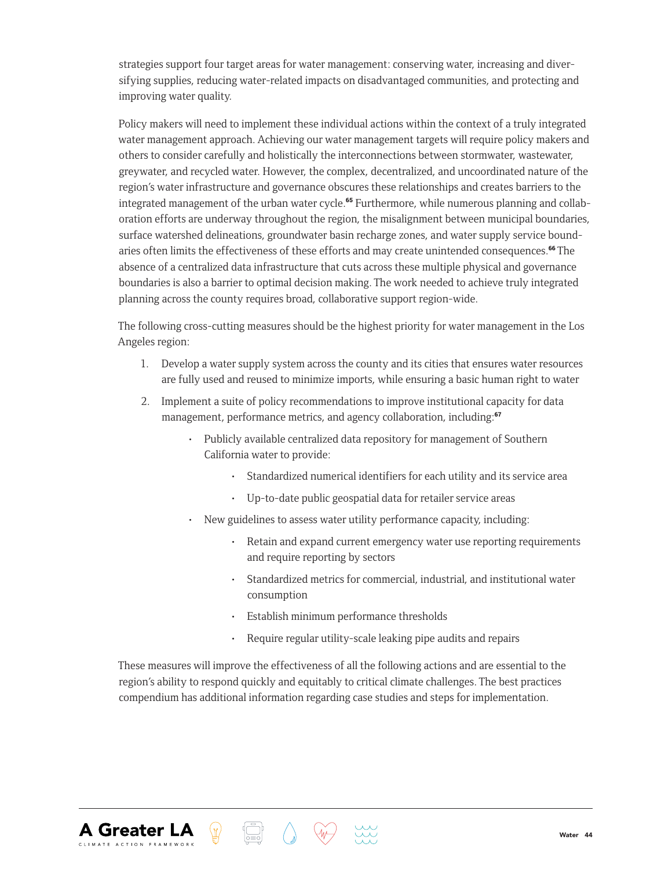strategies support four target areas for water management: conserving water, increasing and diversifying supplies, reducing water-related impacts on disadvantaged communities, and protecting and improving water quality.

Policy makers will need to implement these individual actions within the context of a truly integrated water management approach. Achieving our water management targets will require policy makers and others to consider carefully and holistically the interconnections between stormwater, wastewater, greywater, and recycled water. However, the complex, decentralized, and uncoordinated nature of the region's water infrastructure and governance obscures these relationships and creates barriers to the integrated management of the urban water cycle.<sup>65</sup> Furthermore, while numerous planning and collaboration efforts are underway throughout the region, the misalignment between municipal boundaries, surface watershed delineations, groundwater basin recharge zones, and water supply service boundaries often limits the effectiveness of these efforts and may create unintended consequences.<sup>66</sup> The absence of a centralized data infrastructure that cuts across these multiple physical and governance boundaries is also a barrier to optimal decision making. The work needed to achieve truly integrated planning across the county requires broad, collaborative support region-wide.

The following cross-cutting measures should be the highest priority for water management in the Los Angeles region:

- 1. Develop a water supply system across the county and its cities that ensures water resources are fully used and reused to minimize imports, while ensuring a basic human right to water
- 2. Implement a suite of policy recommendations to improve institutional capacity for data management, performance metrics, and agency collaboration, including:<sup>67</sup>
	- Publicly available centralized data repository for management of Southern California water to provide:
		- Standardized numerical identifiers for each utility and its service area
		- Up-to-date public geospatial data for retailer service areas
	- New guidelines to assess water utility performance capacity, including:
		- Retain and expand current emergency water use reporting requirements and require reporting by sectors
		- Standardized metrics for commercial, industrial, and institutional water consumption
		- Establish minimum performance thresholds
		- Require regular utility-scale leaking pipe audits and repairs

These measures will improve the effectiveness of all the following actions and are essential to the region's ability to respond quickly and equitably to critical climate challenges. The best practices compendium has additional information regarding case studies and steps for implementation.



 $\langle \mathbb{J} \rangle$ 

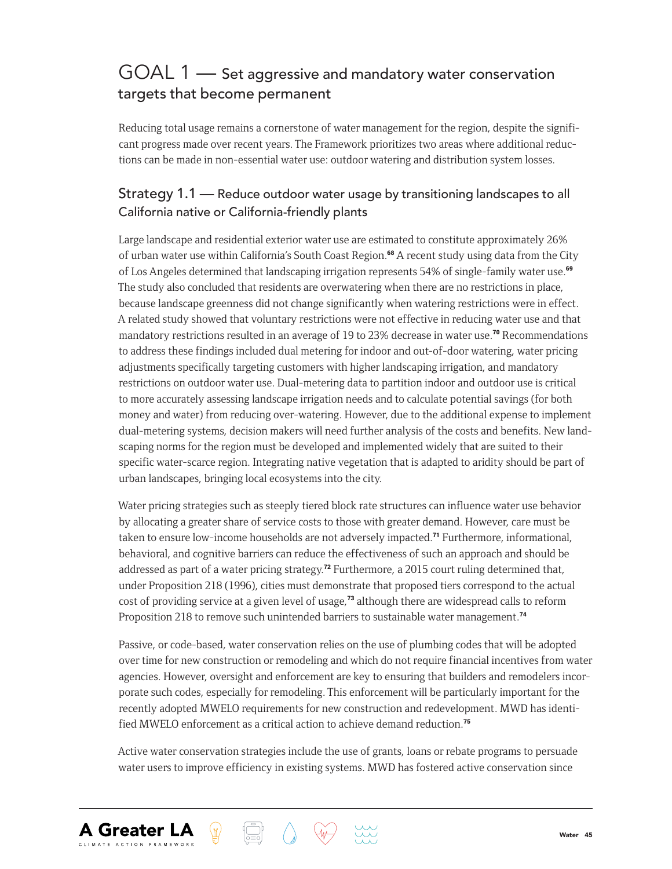## GOAL 1 — Set aggressive and mandatory water conservation targets that become permanent

Reducing total usage remains a cornerstone of water management for the region, despite the significant progress made over recent years. The Framework prioritizes two areas where additional reductions can be made in non-essential water use: outdoor watering and distribution system losses.

#### Strategy 1.1 — Reduce outdoor water usage by transitioning landscapes to all California native or California-friendly plants

Large landscape and residential exterior water use are estimated to constitute approximately 26% of urban water use within California's South Coast Region.<sup>68</sup> A recent study using data from the City of Los Angeles determined that landscaping irrigation represents 54% of single-family water use.<sup>69</sup> The study also concluded that residents are overwatering when there are no restrictions in place, because landscape greenness did not change significantly when watering restrictions were in effect. A related study showed that voluntary restrictions were not effective in reducing water use and that mandatory restrictions resulted in an average of 19 to 23% decrease in water use.<sup>70</sup> Recommendations to address these findings included dual metering for indoor and out-of-door watering, water pricing adjustments specifically targeting customers with higher landscaping irrigation, and mandatory restrictions on outdoor water use. Dual-metering data to partition indoor and outdoor use is critical to more accurately assessing landscape irrigation needs and to calculate potential savings (for both money and water) from reducing over-watering. However, due to the additional expense to implement dual-metering systems, decision makers will need further analysis of the costs and benefits. New landscaping norms for the region must be developed and implemented widely that are suited to their specific water-scarce region. Integrating native vegetation that is adapted to aridity should be part of urban landscapes, bringing local ecosystems into the city.

Water pricing strategies such as steeply tiered block rate structures can influence water use behavior by allocating a greater share of service costs to those with greater demand. However, care must be taken to ensure low-income households are not adversely impacted.<sup>71</sup> Furthermore, informational, behavioral, and cognitive barriers can reduce the effectiveness of such an approach and should be addressed as part of a water pricing strategy.<sup>72</sup> Furthermore, a 2015 court ruling determined that, under Proposition 218 (1996), cities must demonstrate that proposed tiers correspond to the actual cost of providing service at a given level of usage,<sup>73</sup> although there are widespread calls to reform Proposition 218 to remove such unintended barriers to sustainable water management.<sup>74</sup>

Passive, or code-based, water conservation relies on the use of plumbing codes that will be adopted over time for new construction or remodeling and which do not require financial incentives from water agencies. However, oversight and enforcement are key to ensuring that builders and remodelers incorporate such codes, especially for remodeling. This enforcement will be particularly important for the recently adopted MWELO requirements for new construction and redevelopment. MWD has identified MWELO enforcement as a critical action to achieve demand reduction.<sup>75</sup>

Active water conservation strategies include the use of grants, loans or rebate programs to persuade water users to improve efficiency in existing systems. MWD has fostered active conservation since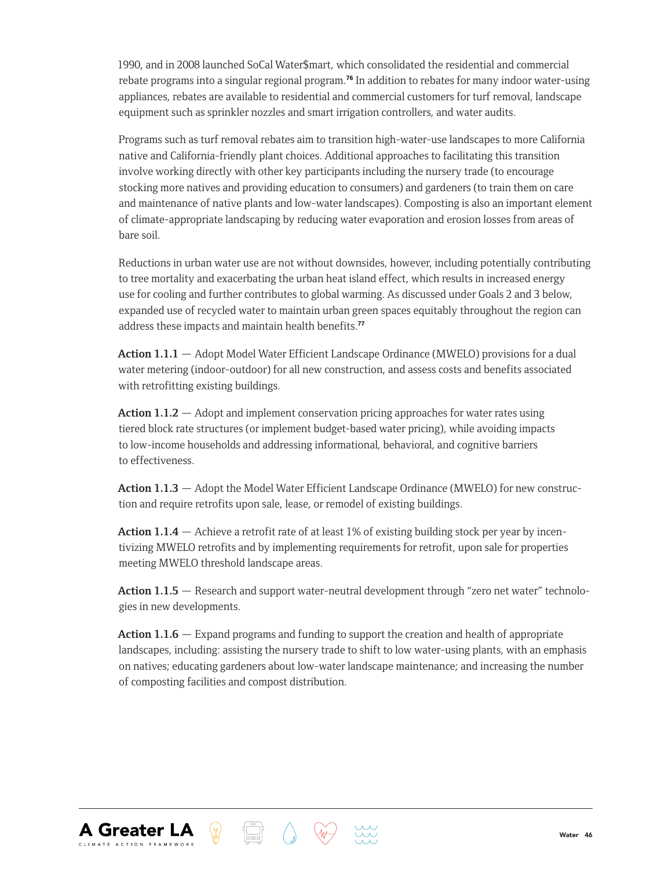1990, and in 2008 launched SoCal Water\$mart, which consolidated the residential and commercial rebate programs into a singular regional program.<sup>76</sup> In addition to rebates for many indoor water-using appliances, rebates are available to residential and commercial customers for turf removal, landscape equipment such as sprinkler nozzles and smart irrigation controllers, and water audits.

Programs such as turf removal rebates aim to transition high-water-use landscapes to more California native and California-friendly plant choices. Additional approaches to facilitating this transition involve working directly with other key participants including the nursery trade (to encourage stocking more natives and providing education to consumers) and gardeners (to train them on care and maintenance of native plants and low-water landscapes). Composting is also an important element of climate-appropriate landscaping by reducing water evaporation and erosion losses from areas of bare soil.

Reductions in urban water use are not without downsides, however, including potentially contributing to tree mortality and exacerbating the urban heat island effect, which results in increased energy use for cooling and further contributes to global warming. As discussed under Goals 2 and 3 below, expanded use of recycled water to maintain urban green spaces equitably throughout the region can address these impacts and maintain health benefits.<sup>77</sup>

**Action 1.1.1** — Adopt Model Water Efficient Landscape Ordinance (MWELO) provisions for a dual water metering (indoor-outdoor) for all new construction, and assess costs and benefits associated with retrofitting existing buildings.

**Action 1.1.2** — Adopt and implement conservation pricing approaches for water rates using tiered block rate structures (or implement budget-based water pricing), while avoiding impacts to low-income households and addressing informational, behavioral, and cognitive barriers to effectiveness.

**Action 1.1.3** — Adopt the Model Water Efficient Landscape Ordinance (MWELO) for new construction and require retrofits upon sale, lease, or remodel of existing buildings.

**Action 1.1.4** — Achieve a retrofit rate of at least 1% of existing building stock per year by incentivizing MWELO retrofits and by implementing requirements for retrofit, upon sale for properties meeting MWELO threshold landscape areas.

**Action 1.1.5** — Research and support water-neutral development through "zero net water" technologies in new developments.

**Action 1.1.6** — Expand programs and funding to support the creation and health of appropriate landscapes, including: assisting the nursery trade to shift to low water-using plants, with an emphasis on natives; educating gardeners about low-water landscape maintenance; and increasing the number of composting facilities and compost distribution.

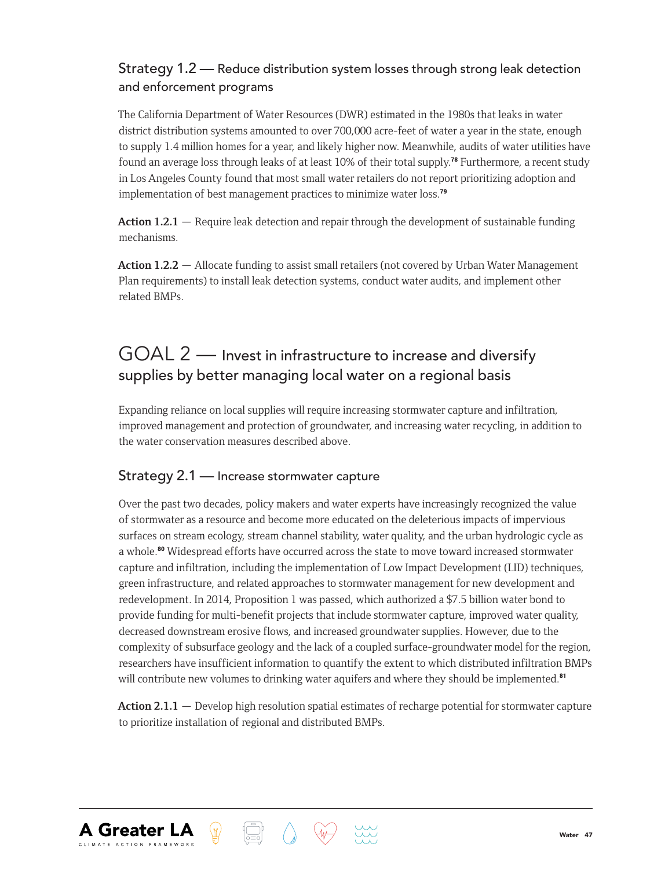#### Strategy 1.2 — Reduce distribution system losses through strong leak detection and enforcement programs

The California Department of Water Resources (DWR) estimated in the 1980s that leaks in water district distribution systems amounted to over 700,000 acre-feet of water a year in the state, enough to supply 1.4 million homes for a year, and likely higher now. Meanwhile, audits of water utilities have found an average loss through leaks of at least 10% of their total supply.78 Furthermore, a recent study in Los Angeles County found that most small water retailers do not report prioritizing adoption and implementation of best management practices to minimize water loss.<sup>79</sup>

**Action 1.2.1** — Require leak detection and repair through the development of sustainable funding mechanisms.

**Action 1.2.2** — Allocate funding to assist small retailers (not covered by Urban Water Management Plan requirements) to install leak detection systems, conduct water audits, and implement other related BMPs.

## GOAL 2 — Invest in infrastructure to increase and diversify supplies by better managing local water on a regional basis

Expanding reliance on local supplies will require increasing stormwater capture and infiltration, improved management and protection of groundwater, and increasing water recycling, in addition to the water conservation measures described above.

#### Strategy 2.1 — Increase stormwater capture

**A Greater LA** 

Over the past two decades, policy makers and water experts have increasingly recognized the value of stormwater as a resource and become more educated on the deleterious impacts of impervious surfaces on stream ecology, stream channel stability, water quality, and the urban hydrologic cycle as a whole.<sup>80</sup> Widespread efforts have occurred across the state to move toward increased stormwater capture and infiltration, including the implementation of Low Impact Development (LID) techniques, green infrastructure, and related approaches to stormwater management for new development and redevelopment. In 2014, Proposition 1 was passed, which authorized a \$7.5 billion water bond to provide funding for multi-benefit projects that include stormwater capture, improved water quality, decreased downstream erosive flows, and increased groundwater supplies. However, due to the complexity of subsurface geology and the lack of a coupled surface-groundwater model for the region, researchers have insufficient information to quantify the extent to which distributed infiltration BMPs will contribute new volumes to drinking water aquifers and where they should be implemented.<sup>81</sup>

**Action 2.1.1** — Develop high resolution spatial estimates of recharge potential for stormwater capture to prioritize installation of regional and distributed BMPs.

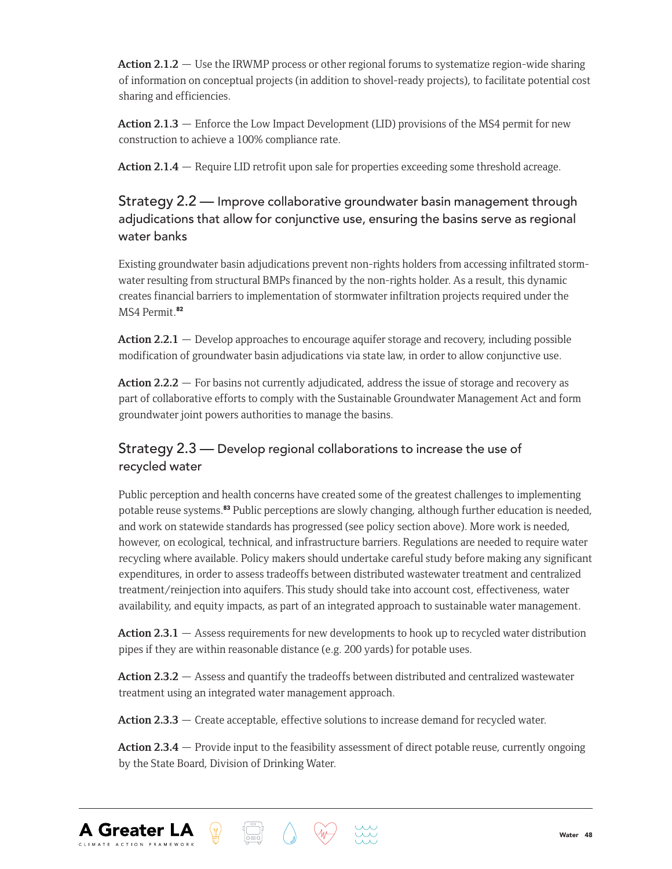**Action 2.1.2** — Use the IRWMP process or other regional forums to systematize region-wide sharing of information on conceptual projects (in addition to shovel-ready projects), to facilitate potential cost sharing and efficiencies.

**Action 2.1.3** — Enforce the Low Impact Development (LID) provisions of the MS4 permit for new construction to achieve a 100% compliance rate.

**Action 2.1.4** — Require LID retrofit upon sale for properties exceeding some threshold acreage.

#### Strategy 2.2 — Improve collaborative groundwater basin management through adjudications that allow for conjunctive use, ensuring the basins serve as regional water banks

Existing groundwater basin adjudications prevent non-rights holders from accessing infiltrated stormwater resulting from structural BMPs financed by the non-rights holder. As a result, this dynamic creates financial barriers to implementation of stormwater infiltration projects required under the MS4 Permit.<sup>82</sup>

**Action 2.2.1** — Develop approaches to encourage aquifer storage and recovery, including possible modification of groundwater basin adjudications via state law, in order to allow conjunctive use.

**Action 2.2.2** — For basins not currently adjudicated, address the issue of storage and recovery as part of collaborative efforts to comply with the Sustainable Groundwater Management Act and form groundwater joint powers authorities to manage the basins.

#### Strategy 2.3 — Develop regional collaborations to increase the use of recycled water

Public perception and health concerns have created some of the greatest challenges to implementing potable reuse systems.<sup>83</sup> Public perceptions are slowly changing, although further education is needed, and work on statewide standards has progressed (see policy section above). More work is needed, however, on ecological, technical, and infrastructure barriers. Regulations are needed to require water recycling where available. Policy makers should undertake careful study before making any significant expenditures, in order to assess tradeoffs between distributed wastewater treatment and centralized treatment/reinjection into aquifers. This study should take into account cost, effectiveness, water availability, and equity impacts, as part of an integrated approach to sustainable water management.

Action 2.3.1 — Assess requirements for new developments to hook up to recycled water distribution pipes if they are within reasonable distance (e.g. 200 yards) for potable uses.

**Action 2.3.2** — Assess and quantify the tradeoffs between distributed and centralized wastewater treatment using an integrated water management approach.

**Action 2.3.3** — Create acceptable, effective solutions to increase demand for recycled water.

**Action 2.3.4** — Provide input to the feasibility assessment of direct potable reuse, currently ongoing by the State Board, Division of Drinking Water.



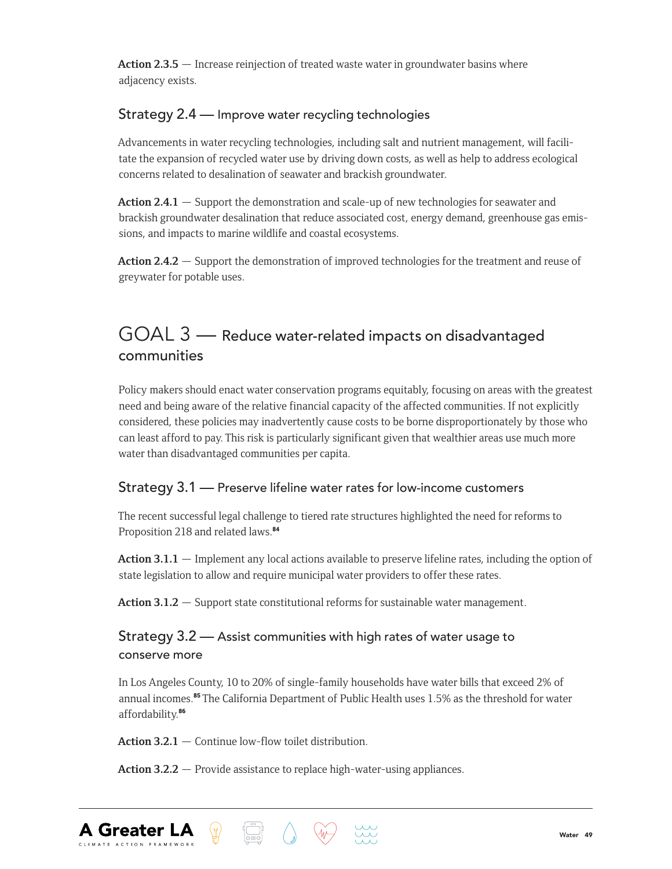**Action 2.3.5** — Increase reinjection of treated waste water in groundwater basins where adjacency exists.

#### Strategy 2.4 — Improve water recycling technologies

Advancements in water recycling technologies, including salt and nutrient management, will facilitate the expansion of recycled water use by driving down costs, as well as help to address ecological concerns related to desalination of seawater and brackish groundwater.

**Action 2.4.1** — Support the demonstration and scale-up of new technologies for seawater and brackish groundwater desalination that reduce associated cost, energy demand, greenhouse gas emissions, and impacts to marine wildlife and coastal ecosystems.

**Action 2.4.2** — Support the demonstration of improved technologies for the treatment and reuse of greywater for potable uses.

## GOAL 3 — Reduce water-related impacts on disadvantaged communities

Policy makers should enact water conservation programs equitably, focusing on areas with the greatest need and being aware of the relative financial capacity of the affected communities. If not explicitly considered, these policies may inadvertently cause costs to be borne disproportionately by those who can least afford to pay. This risk is particularly significant given that wealthier areas use much more water than disadvantaged communities per capita.

#### Strategy 3.1 — Preserve lifeline water rates for low-income customers

The recent successful legal challenge to tiered rate structures highlighted the need for reforms to Proposition 218 and related laws.<sup>84</sup>

**Action 3.1.1** — Implement any local actions available to preserve lifeline rates, including the option of state legislation to allow and require municipal water providers to offer these rates.

Action 3.1.2 – Support state constitutional reforms for sustainable water management.

#### Strategy 3.2 — Assist communities with high rates of water usage to conserve more

In Los Angeles County, 10 to 20% of single-family households have water bills that exceed 2% of annual incomes.<sup>85</sup> The California Department of Public Health uses 1.5% as the threshold for water affordability.<sup>86</sup>

**Action 3.2.1** — Continue low-flow toilet distribution.

 $\langle \overline{\mathbb{I}} \rangle$ 

**A Greater LA** 

**Action 3.2.2** — Provide assistance to replace high-water-using appliances.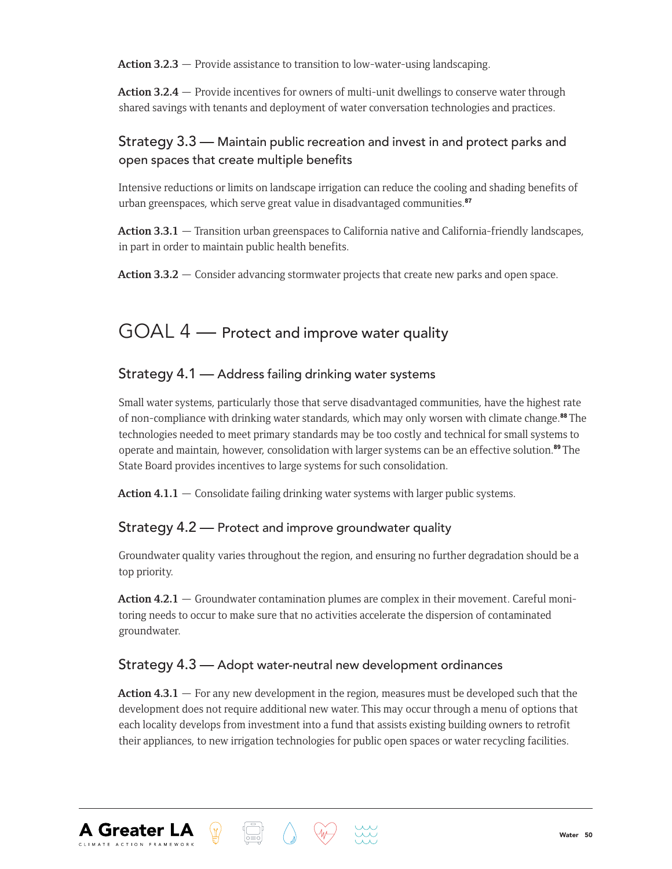**Action 3.2.3** — Provide assistance to transition to low-water-using landscaping.

**Action 3.2.4** — Provide incentives for owners of multi-unit dwellings to conserve water through shared savings with tenants and deployment of water conversation technologies and practices.

#### Strategy 3.3 — Maintain public recreation and invest in and protect parks and open spaces that create multiple benefits

Intensive reductions or limits on landscape irrigation can reduce the cooling and shading benefits of urban greenspaces, which serve great value in disadvantaged communities.<sup>87</sup>

**Action 3.3.1** — Transition urban greenspaces to California native and California-friendly landscapes, in part in order to maintain public health benefits.

**Action 3.3.2** — Consider advancing stormwater projects that create new parks and open space.

## GOAL 4 — Protect and improve water quality

#### Strategy 4.1 — Address failing drinking water systems

Small water systems, particularly those that serve disadvantaged communities, have the highest rate of non-compliance with drinking water standards, which may only worsen with climate change.<sup>88</sup> The technologies needed to meet primary standards may be too costly and technical for small systems to operate and maintain, however, consolidation with larger systems can be an effective solution.<sup>89</sup> The State Board provides incentives to large systems for such consolidation.

**Action 4.1.1** — Consolidate failing drinking water systems with larger public systems.

#### Strategy 4.2 — Protect and improve groundwater quality

Groundwater quality varies throughout the region, and ensuring no further degradation should be a top priority.

Action 4.2.1 — Groundwater contamination plumes are complex in their movement. Careful monitoring needs to occur to make sure that no activities accelerate the dispersion of contaminated groundwater.

#### Strategy 4.3 — Adopt water-neutral new development ordinances

**A Greater LA** 

 $\langle \mathbb{J} \rangle$ 

**Action 4.3.1** — For any new development in the region, measures must be developed such that the development does not require additional new water. This may occur through a menu of options that each locality develops from investment into a fund that assists existing building owners to retrofit their appliances, to new irrigation technologies for public open spaces or water recycling facilities.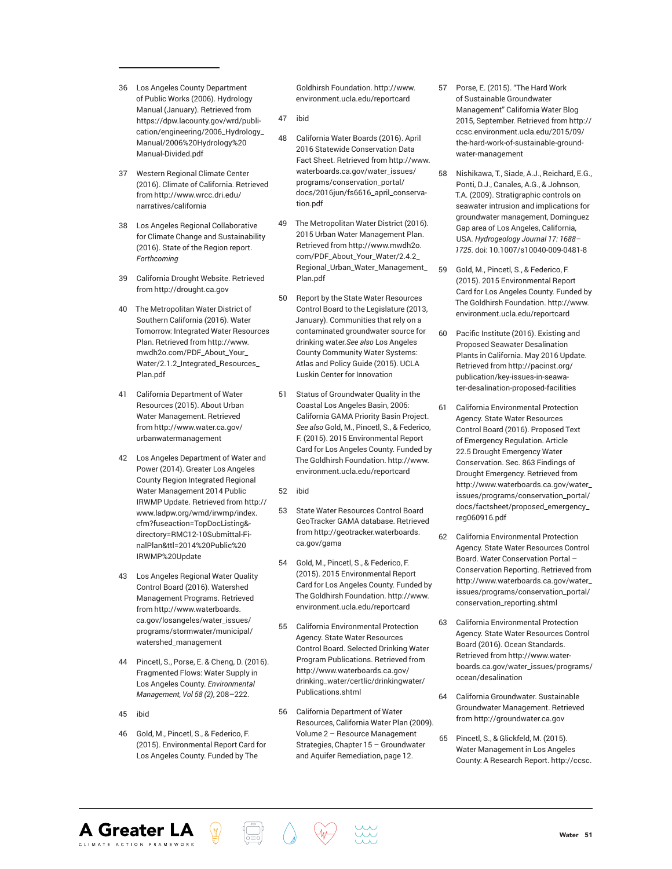- 36 Los Angeles County Department of Public Works (2006). Hydrology Manual (January). Retrieved from https://dpw.lacounty.gov/wrd/publication/engineering/2006\_Hydrology\_ Manual/2006%20Hydrology%20 Manual-Divided.pdf
- 37 Western Regional Climate Center (2016). Climate of California. Retrieved from http://www.wrcc.dri.edu/ narratives/california
- 38 Los Angeles Regional Collaborative for Climate Change and Sustainability (2016). State of the Region report. *Forthcoming*
- 39 California Drought Website. Retrieved from http://drought.ca.gov
- 40 The Metropolitan Water District of Southern California (2016). Water Tomorrow: Integrated Water Resources Plan. Retrieved from http://www. mwdh2o.com/PDF\_About\_Your\_ Water/2.1.2\_Integrated\_Resources\_ Plan.pdf
- 41 California Department of Water Resources (2015). About Urban Water Management. Retrieved from http://www.water.ca.gov/ urbanwatermanagement
- 42 Los Angeles Department of Water and Power (2014). Greater Los Angeles County Region Integrated Regional Water Management 2014 Public IRWMP Update. Retrieved from http:// www.ladpw.org/wmd/irwmp/index. cfm?fuseaction=TopDocListing& directory=RMC12-10Submittal-FinalPlan&ttl=2014%20Public%20 IRWMP%20Update
- 43 Los Angeles Regional Water Quality Control Board (2016). Watershed Management Programs. Retrieved from http://www.waterboards. ca.gov/losangeles/water\_issues/ programs/stormwater/municipal/ watershed\_management
- 44 Pincetl, S., Porse, E. & Cheng, D. (2016). Fragmented Flows: Water Supply in Los Angeles County. *Environmental Management, Vol 58 (2)*, 208–222.
- 45 ibid

**A Greater LA** 

46 Gold, M., Pincetl, S., & Federico, F. (2015). Environmental Report Card for Los Angeles County. Funded by The

Goldhirsh Foundation. http://www. environment.ucla.edu/reportcard

- 47 ibid
- 48 California Water Boards (2016). April 2016 Statewide Conservation Data Fact Sheet. Retrieved from http://www. waterboards.ca.gov/water\_issues/ programs/conservation\_portal/ docs/2016jun/fs6616\_april\_conservation.pdf
- 49 The Metropolitan Water District (2016). 2015 Urban Water Management Plan. Retrieved from http://www.mwdh2o. com/PDF\_About\_Your\_Water/2.4.2\_ Regional\_Urban\_Water\_Management\_ Plan.pdf
- 50 Report by the State Water Resources Control Board to the Legislature (2013, January). Communities that rely on a contaminated groundwater source for drinking water.*See also* Los Angeles County Community Water Systems: Atlas and Policy Guide (2015). UCLA Luskin Center for Innovation
- 51 Status of Groundwater Quality in the Coastal Los Angeles Basin, 2006: California GAMA Priority Basin Project. *See also* Gold, M., Pincetl, S., & Federico, F. (2015). 2015 Environmental Report Card for Los Angeles County. Funded by The Goldhirsh Foundation. http://www. environment.ucla.edu/reportcard
- 52 ibid
- 53 State Water Resources Control Board GeoTracker GAMA database. Retrieved from http://geotracker.waterboards. ca.gov/gama
- 54 Gold, M., Pincetl, S., & Federico, F. (2015). 2015 Environmental Report Card for Los Angeles County. Funded by The Goldhirsh Foundation. http://www. environment.ucla.edu/reportcard
- 55 California Environmental Protection Agency. State Water Resources Control Board. Selected Drinking Water Program Publications. Retrieved from http://www.waterboards.ca.gov/ drinking\_water/certlic/drinkingwater/ Publications.shtml
- 56 California Department of Water Resources, California Water Plan (2009). Volume 2 – Resource Management Strategies, Chapter 15 – Groundwater and Aquifer Remediation, page 12.
- 57 Porse, E. (2015). "The Hard Work of Sustainable Groundwater Management" California Water Blog 2015, September. Retrieved from http:// ccsc.environment.ucla.edu/2015/09/ the-hard-work-of-sustainable-groundwater-management
- 58 Nishikawa, T., Siade, A.J., Reichard, E.G., Ponti, D.J., Canales, A.G., & Johnson, T.A. (2009). Stratigraphic controls on seawater intrusion and implications for groundwater management, Dominguez Gap area of Los Angeles, California, USA. *Hydrogeology Journal 17: 1688– 1725*. doi: 10.1007/s10040-009-0481-8
- 59 Gold, M., Pincetl, S., & Federico, F. (2015). 2015 Environmental Report Card for Los Angeles County. Funded by The Goldhirsh Foundation. http://www. environment.ucla.edu/reportcard
- 60 Pacific Institute (2016). Existing and Proposed Seawater Desalination Plants in California. May 2016 Update. Retrieved from http://pacinst.org/ publication/key-issues-in-seawater-desalination-proposed-facilities
- 61 California Environmental Protection Agency. State Water Resources Control Board (2016). Proposed Text of Emergency Regulation. Article 22.5 Drought Emergency Water Conservation. Sec. 863 Findings of Drought Emergency. Retrieved from http://www.waterboards.ca.gov/water\_ issues/programs/conservation\_portal/ docs/factsheet/proposed\_emergency\_ reg060916.pdf
- 62 California Environmental Protection Agency. State Water Resources Control Board. Water Conservation Portal – Conservation Reporting. Retrieved from http://www.waterboards.ca.gov/water\_ issues/programs/conservation\_portal/ conservation\_reporting.shtml
- 63 California Environmental Protection Agency. State Water Resources Control Board (2016). Ocean Standards. Retrieved from http://www.waterboards.ca.gov/water\_issues/programs/ ocean/desalination
- 64 California Groundwater. Sustainable Groundwater Management. Retrieved from http://groundwater.ca.gov
- 65 Pincetl, S., & Glickfeld, M. (2015). Water Management in Los Angeles County: A Research Report. http://ccsc.